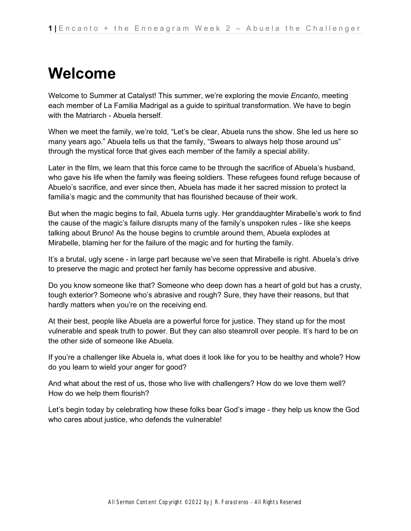# **Welcome**

Welcome to Summer at Catalyst! This summer, we're exploring the movie *Encanto*, meeting each member of La Familia Madrigal as a guide to spiritual transformation. We have to begin with the Matriarch - Abuela herself.

When we meet the family, we're told, "Let's be clear, Abuela runs the show. She led us here so many years ago." Abuela tells us that the family, "Swears to always help those around us" through the mystical force that gives each member of the family a special ability.

Later in the film, we learn that this force came to be through the sacrifice of Abuela's husband, who gave his life when the family was fleeing soldiers. These refugees found refuge because of Abuelo's sacrifice, and ever since then, Abuela has made it her sacred mission to protect la familia's magic and the community that has flourished because of their work.

But when the magic begins to fail, Abuela turns ugly. Her granddaughter Mirabelle's work to find the cause of the magic's failure disrupts many of the family's unspoken rules - like she keeps talking about Bruno! As the house begins to crumble around them, Abuela explodes at Mirabelle, blaming her for the failure of the magic and for hurting the family.

It's a brutal, ugly scene - in large part because we've seen that Mirabelle is right. Abuela's drive to preserve the magic and protect her family has become oppressive and abusive.

Do you know someone like that? Someone who deep down has a heart of gold but has a crusty, tough exterior? Someone who's abrasive and rough? Sure, they have their reasons, but that hardly matters when you're on the receiving end.

At their best, people like Abuela are a powerful force for justice. They stand up for the most vulnerable and speak truth to power. But they can also steamroll over people. It's hard to be on the other side of someone like Abuela.

If you're a challenger like Abuela is, what does it look like for you to be healthy and whole? How do you learn to wield your anger for good?

And what about the rest of us, those who live with challengers? How do we love them well? How do we help them flourish?

Let's begin today by celebrating how these folks bear God's image - they help us know the God who cares about justice, who defends the vulnerable!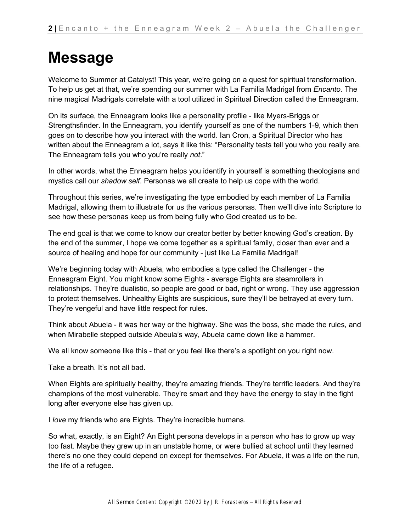## **Message**

Welcome to Summer at Catalyst! This year, we're going on a quest for spiritual transformation. To help us get at that, we're spending our summer with La Familia Madrigal from *Encanto*. The nine magical Madrigals correlate with a tool utilized in Spiritual Direction called the Enneagram.

On its surface, the Enneagram looks like a personality profile - like Myers-Briggs or Strengthsfinder. In the Enneagram, you identify yourself as one of the numbers 1-9, which then goes on to describe how you interact with the world. Ian Cron, a Spiritual Director who has written about the Enneagram a lot, says it like this: "Personality tests tell you who you really are. The Enneagram tells you who you're really *not*."

In other words, what the Enneagram helps you identify in yourself is something theologians and mystics call our *shadow self*. Personas we all create to help us cope with the world.

Throughout this series, we're investigating the type embodied by each member of La Familia Madrigal, allowing them to illustrate for us the various personas. Then we'll dive into Scripture to see how these personas keep us from being fully who God created us to be.

The end goal is that we come to know our creator better by better knowing God's creation. By the end of the summer, I hope we come together as a spiritual family, closer than ever and a source of healing and hope for our community - just like La Familia Madrigal!

We're beginning today with Abuela, who embodies a type called the Challenger - the Enneagram Eight. You might know some Eights - average Eights are steamrollers in relationships. They're dualistic, so people are good or bad, right or wrong. They use aggression to protect themselves. Unhealthy Eights are suspicious, sure they'll be betrayed at every turn. They're vengeful and have little respect for rules.

Think about Abuela - it was her way or the highway. She was the boss, she made the rules, and when Mirabelle stepped outside Abeula's way, Abuela came down like a hammer.

We all know someone like this - that or you feel like there's a spotlight on you right now.

Take a breath. It's not all bad.

When Eights are spiritually healthy, they're amazing friends. They're terrific leaders. And they're champions of the most vulnerable. They're smart and they have the energy to stay in the fight long after everyone else has given up.

I *love* my friends who are Eights. They're incredible humans.

So what, exactly, is an Eight? An Eight persona develops in a person who has to grow up way too fast. Maybe they grew up in an unstable home, or were bullied at school until they learned there's no one they could depend on except for themselves. For Abuela, it was a life on the run, the life of a refugee.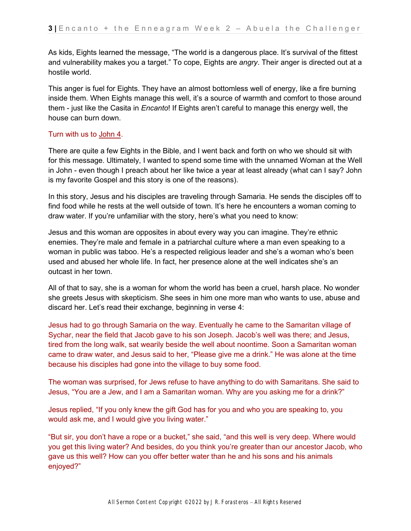As kids, Eights learned the message, "The world is a dangerous place. It's survival of the fittest and vulnerability makes you a target." To cope, Eights are *angry*. Their anger is directed out at a hostile world.

This anger is fuel for Eights. They have an almost bottomless well of energy, like a fire burning inside them. When Eights manage this well, it's a source of warmth and comfort to those around them - just like the Casita in *Encanto*! If Eights aren't careful to manage this energy well, the house can burn down.

#### Turn with us t[o](https://ref.ly/logosref/bible$2Bnlt.64.4) [John 4.](https://ref.ly/logosref/bible$2Bnlt.64.4)

There are quite a few Eights in the Bible, and I went back and forth on who we should sit with for this message. Ultimately, I wanted to spend some time with the unnamed Woman at the Well in John - even though I preach about her like twice a year at least already (what can I say? John is my favorite Gospel and this story is one of the reasons).

In this story, Jesus and his disciples are traveling through Samaria. He sends the disciples off to find food while he rests at the well outside of town. It's here he encounters a woman coming to draw water. If you're unfamiliar with the story, here's what you need to know:

Jesus and this woman are opposites in about every way you can imagine. They're ethnic enemies. They're male and female in a patriarchal culture where a man even speaking to a woman in public was taboo. He's a respected religious leader and she's a woman who's been used and abused her whole life. In fact, her presence alone at the well indicates she's an outcast in her town.

All of that to say, she is a woman for whom the world has been a cruel, harsh place. No wonder she greets Jesus with skepticism. She sees in him one more man who wants to use, abuse and discard her. Let's read their exchange, beginning in verse 4:

Jesus had to go through Samaria on the way. Eventually he came to the Samaritan village of Sychar, near the field that Jacob gave to his son Joseph. Jacob's well was there; and Jesus, tired from the long walk, sat wearily beside the well about noontime. Soon a Samaritan woman came to draw water, and Jesus said to her, "Please give me a drink." He was alone at the time because his disciples had gone into the village to buy some food.

The woman was surprised, for Jews refuse to have anything to do with Samaritans. She said to Jesus, "You are a Jew, and I am a Samaritan woman. Why are you asking me for a drink?"

Jesus replied, "If you only knew the gift God has for you and who you are speaking to, you would ask me, and I would give you living water."

"But sir, you don't have a rope or a bucket," she said, "and this well is very deep. Where would you get this living water? And besides, do you think you're greater than our ancestor Jacob, who gave us this well? How can you offer better water than he and his sons and his animals enjoyed?"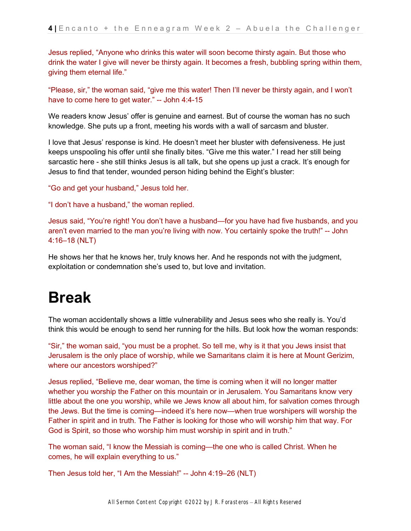Jesus replied, "Anyone who drinks this water will soon become thirsty again. But those who drink the water I give will never be thirsty again. It becomes a fresh, bubbling spring within them, giving them eternal life."

"Please, sir," the woman said, "give me this water! Then I'll never be thirsty again, and I won't have to come here to get water." -- John 4:4-15

We readers know Jesus' offer is genuine and earnest. But of course the woman has no such knowledge. She puts up a front, meeting his words with a wall of sarcasm and bluster.

I love that Jesus' response is kind. He doesn't meet her bluster with defensiveness. He just keeps unspooling his offer until she finally bites. "Give me this water." I read her still being sarcastic here - she still thinks Jesus is all talk, but she opens up just a crack. It's enough for Jesus to find that tender, wounded person hiding behind the Eight's bluster:

"Go and get your husband," Jesus told her.

"I don't have a husband," the woman replied.

Jesus said, "You're right! You don't have a husband—for you have had five husbands, and you aren't even married to the man you're living with now. You certainly spoke the truth!" -- John 4:16–18 (NLT)

He shows her that he knows her, truly knows her. And he responds not with the judgment, exploitation or condemnation she's used to, but love and invitation.

### **Break**

The woman accidentally shows a little vulnerability and Jesus sees who she really is. You'd think this would be enough to send her running for the hills. But look how the woman responds:

"Sir," the woman said, "you must be a prophet. So tell me, why is it that you Jews insist that Jerusalem is the only place of worship, while we Samaritans claim it is here at Mount Gerizim, where our ancestors worshiped?"

Jesus replied, "Believe me, dear woman, the time is coming when it will no longer matter whether you worship the Father on this mountain or in Jerusalem. You Samaritans know very little about the one you worship, while we Jews know all about him, for salvation comes through the Jews. But the time is coming—indeed it's here now—when true worshipers will worship the Father in spirit and in truth. The Father is looking for those who will worship him that way. For God is Spirit, so those who worship him must worship in spirit and in truth."

The woman said, "I know the Messiah is coming—the one who is called Christ. When he comes, he will explain everything to us."

Then Jesus told her, "I Am the Messiah!" -- John 4:19–26 (NLT)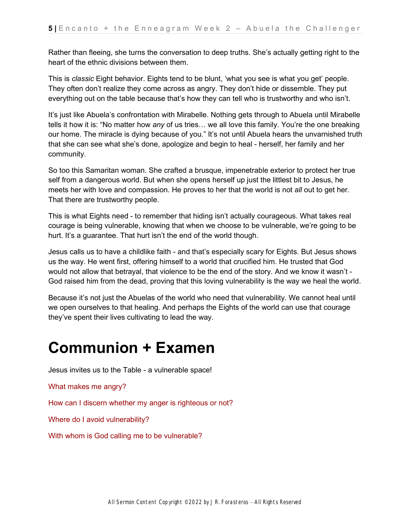Rather than fleeing, she turns the conversation to deep truths. She's actually getting right to the heart of the ethnic divisions between them.

This is *classic* Eight behavior. Eights tend to be blunt, 'what you see is what you get' people. They often don't realize they come across as angry. They don't hide or dissemble. They put everything out on the table because that's how they can tell who is trustworthy and who isn't.

It's just like Abuela's confrontation with Mirabelle. Nothing gets through to Abuela until Mirabelle tells it how it is: "No matter how *any* of us tries… we all love this family. You're the one breaking our home. The miracle is dying because of you." It's not until Abuela hears the unvarnished truth that she can see what she's done, apologize and begin to heal - herself, her family and her community.

So too this Samaritan woman. She crafted a brusque, impenetrable exterior to protect her true self from a dangerous world. But when she opens herself up just the littlest bit to Jesus, he meets her with love and compassion. He proves to her that the world is not *all* out to get her. That there are trustworthy people.

This is what Eights need - to remember that hiding isn't actually courageous. What takes real courage is being vulnerable, knowing that when we choose to be vulnerable, we're going to be hurt. It's a guarantee. That hurt isn't the end of the world though.

Jesus calls us to have a childlike faith - and that's especially scary for Eights. But Jesus shows us the way. He went first, offering himself to a world that crucified him. He trusted that God would not allow that betrayal, that violence to be the end of the story. And we know it wasn't - God raised him from the dead, proving that this loving vulnerability is the way we heal the world.

Because it's not just the Abuelas of the world who need that vulnerability. We cannot heal until we open ourselves to that healing. And perhaps the Eights of the world can use that courage they've spent their lives cultivating to lead the way.

### **Communion + Examen**

Jesus invites us to the Table - a vulnerable space!

What makes me angry?

How can I discern whether my anger is righteous or not?

Where do I avoid vulnerability?

With whom is God calling me to be vulnerable?